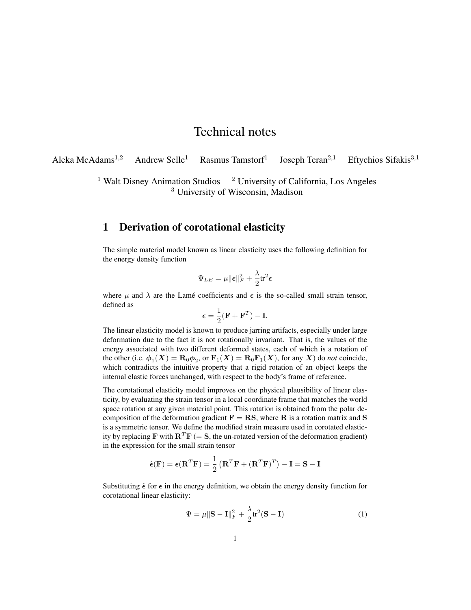## Technical notes

Aleka McAdams<sup>1,2</sup> Andrew Selle<sup>1</sup> Rasmus Tamstorf<sup>1</sup> Joseph Teran<sup>2,1</sup> Eftychios Sifakis<sup>3,1</sup>

> <sup>1</sup> Walt Disney Animation Studios  $\frac{2 \text{ University of California, Los Angeles}}{2 \text{ University of California}}$ <sup>3</sup> University of Wisconsin, Madison

## 1 Derivation of corotational elasticity

The simple material model known as linear elasticity uses the following definition for the energy density function

$$
\Psi_{LE} = \mu \|\boldsymbol{\epsilon}\|_F^2 + \frac{\lambda}{2} \text{tr}^2 \boldsymbol{\epsilon}
$$

where  $\mu$  and  $\lambda$  are the Lamé coefficients and  $\epsilon$  is the so-called small strain tensor, defined as

$$
\boldsymbol{\epsilon} = \frac{1}{2} (\mathbf{F} + \mathbf{F}^T) - \mathbf{I}.
$$

The linear elasticity model is known to produce jarring artifacts, especially under large deformation due to the fact it is not rotationally invariant. That is, the values of the energy associated with two different deformed states, each of which is a rotation of the other (i.e.  $\phi_1(X) = \mathbf{R}_0 \phi_2$ , or  $\mathbf{F}_1(X) = \mathbf{R}_0 \mathbf{F}_1(X)$ , for any X) do *not* coincide, which contradicts the intuitive property that a rigid rotation of an object keeps the internal elastic forces unchanged, with respect to the body's frame of reference.

The corotational elasticity model improves on the physical plausibility of linear elasticity, by evaluating the strain tensor in a local coordinate frame that matches the world space rotation at any given material point. This rotation is obtained from the polar decomposition of the deformation gradient  $\mathbf{F} = \mathbf{RS}$ , where **R** is a rotation matrix and **S** is a symmetric tensor. We define the modified strain measure used in corotated elasticity by replacing F with  $\mathbf{R}^T \mathbf{F} (= \mathbf{S}$ , the un-rotated version of the deformation gradient) in the expression for the small strain tensor

$$
\hat{\boldsymbol{\epsilon}}(\mathbf{F}) = \boldsymbol{\epsilon}(\mathbf{R}^T \mathbf{F}) = \frac{1}{2} (\mathbf{R}^T \mathbf{F} + (\mathbf{R}^T \mathbf{F})^T) - \mathbf{I} = \mathbf{S} - \mathbf{I}
$$

Substituting  $\hat{\epsilon}$  for  $\epsilon$  in the energy definition, we obtain the energy density function for corotational linear elasticity:

$$
\Psi = \mu \|\mathbf{S} - \mathbf{I}\|_F^2 + \frac{\lambda}{2} \text{tr}^2 (\mathbf{S} - \mathbf{I})
$$
\n(1)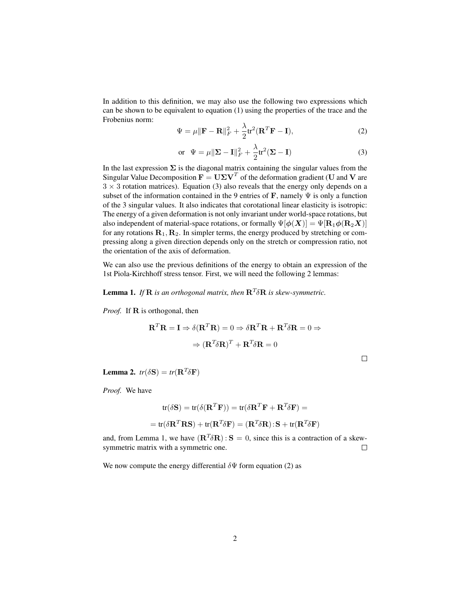In addition to this definition, we may also use the following two expressions which can be shown to be equivalent to equation (1) using the properties of the trace and the Frobenius norm:

$$
\Psi = \mu \|\mathbf{F} - \mathbf{R}\|_F^2 + \frac{\lambda}{2} \text{tr}^2 (\mathbf{R}^T \mathbf{F} - \mathbf{I}),\tag{2}
$$

$$
\text{or} \quad \Psi = \mu \|\mathbf{\Sigma} - \mathbf{I}\|_F^2 + \frac{\lambda}{2} \text{tr}^2 (\mathbf{\Sigma} - \mathbf{I}) \tag{3}
$$

In the last expression  $\Sigma$  is the diagonal matrix containing the singular values from the Singular Value Decomposition  $\mathbf{F} = \mathbf{U} \Sigma \mathbf{V}^T$  of the deformation gradient (U and V are  $3 \times 3$  rotation matrices). Equation (3) also reveals that the energy only depends on a subset of the information contained in the 9 entries of  $\mathbf F$ , namely  $\Psi$  is only a function of the 3 singular values. It also indicates that corotational linear elasticity is isotropic: The energy of a given deformation is not only invariant under world-space rotations, but also independent of material-space rotations, or formally  $\Psi[\phi(X)] = \Psi[\mathbf{R}_1 \phi(\mathbf{R}_2 X)]$ for any rotations  $\mathbf{R}_1, \mathbf{R}_2$ . In simpler terms, the energy produced by stretching or compressing along a given direction depends only on the stretch or compression ratio, not the orientation of the axis of deformation.

We can also use the previous definitions of the energy to obtain an expression of the 1st Piola-Kirchhoff stress tensor. First, we will need the following 2 lemmas:

**Lemma 1.** If  $\mathbb{R}$  is an orthogonal matrix, then  $\mathbb{R}^T \delta \mathbb{R}$  is skew-symmetric.

*Proof.* If **R** is orthogonal, then

$$
\mathbf{R}^T \mathbf{R} = \mathbf{I} \Rightarrow \delta(\mathbf{R}^T \mathbf{R}) = 0 \Rightarrow \delta \mathbf{R}^T \mathbf{R} + \mathbf{R}^T \delta \mathbf{R} = 0 \Rightarrow
$$

$$
\Rightarrow (\mathbf{R}^T \delta \mathbf{R})^T + \mathbf{R}^T \delta \mathbf{R} = 0
$$

**Lemma 2.**  $tr(\delta S) = tr(\mathbf{R}^T \delta \mathbf{F})$ 

*Proof.* We have

$$
\text{tr}(\delta \mathbf{S}) = \text{tr}(\delta (\mathbf{R}^T \mathbf{F})) = \text{tr}(\delta \mathbf{R}^T \mathbf{F} + \mathbf{R}^T \delta \mathbf{F}) =
$$

$$
= \text{tr}(\delta \mathbf{R}^T \mathbf{R} \mathbf{S}) + \text{tr}(\mathbf{R}^T \delta \mathbf{F}) = (\mathbf{R}^T \delta \mathbf{R}) \cdot \mathbf{S} + \text{tr}(\mathbf{R}^T \delta \mathbf{F})
$$

and, from Lemma 1, we have  $(\mathbf{R}^T \delta \mathbf{R}) : \mathbf{S} = 0$ , since this is a contraction of a skewsymmetric matrix with a symmetric one.  $\Box$ 

We now compute the energy differential  $\delta \Psi$  form equation (2) as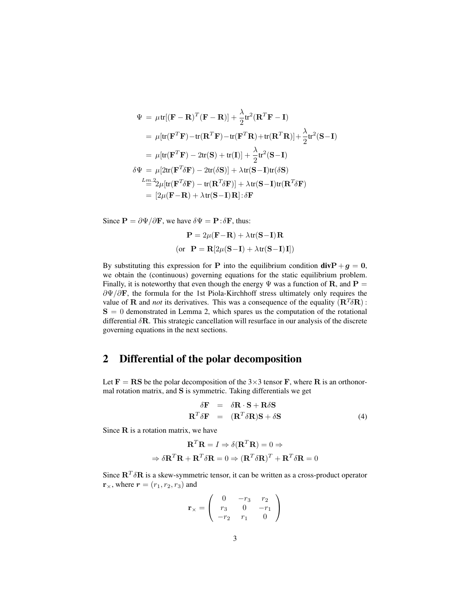$$
\Psi = \mu \text{tr}[(\mathbf{F} - \mathbf{R})^T (\mathbf{F} - \mathbf{R})] + \frac{\lambda}{2} \text{tr}^2 (\mathbf{R}^T \mathbf{F} - \mathbf{I})
$$
\n
$$
= \mu [\text{tr}(\mathbf{F}^T \mathbf{F}) - \text{tr}(\mathbf{R}^T \mathbf{F}) - \text{tr}(\mathbf{F}^T \mathbf{R}) + \text{tr}(\mathbf{R}^T \mathbf{R})] + \frac{\lambda}{2} \text{tr}^2 (\mathbf{S} - \mathbf{I})
$$
\n
$$
= \mu [\text{tr}(\mathbf{F}^T \mathbf{F}) - 2 \text{tr}(\mathbf{S}) + \text{tr}(\mathbf{I})] + \frac{\lambda}{2} \text{tr}^2 (\mathbf{S} - \mathbf{I})
$$
\n
$$
\delta \Psi = \mu [2 \text{tr}(\mathbf{F}^T \delta \mathbf{F}) - 2 \text{tr}(\delta \mathbf{S})] + \lambda \text{tr}(\mathbf{S} - \mathbf{I}) \text{tr}(\delta \mathbf{S})
$$
\n
$$
\frac{L_m}{2} 2 \mu [\text{tr}(\mathbf{F}^T \delta \mathbf{F}) - \text{tr}(\mathbf{R}^T \delta \mathbf{F})] + \lambda \text{tr}(\mathbf{S} - \mathbf{I}) \text{tr}(\mathbf{R}^T \delta \mathbf{F})
$$
\n
$$
= [2 \mu (\mathbf{F} - \mathbf{R}) + \lambda \text{tr}(\mathbf{S} - \mathbf{I}) \mathbf{R}] : \delta \mathbf{F}
$$

Since  $\mathbf{P} = \frac{\partial \Psi}{\partial \mathbf{F}}$ , we have  $\delta \Psi = \mathbf{P} : \delta \mathbf{F}$ , thus:

$$
\mathbf{P} = 2\mu(\mathbf{F} - \mathbf{R}) + \lambda \text{tr}(\mathbf{S} - \mathbf{I})\mathbf{R}
$$
  
(or 
$$
\mathbf{P} = \mathbf{R}[2\mu(\mathbf{S} - \mathbf{I}) + \lambda \text{tr}(\mathbf{S} - \mathbf{I})\mathbf{I}])
$$

By substituting this expression for P into the equilibrium condition  $divP+g = 0$ , we obtain the (continuous) governing equations for the static equilibrium problem. Finally, it is noteworthy that even though the energy  $\Psi$  was a function of **R**, and **P** =  $\partial\Psi/\partial\mathbf{F}$ , the formula for the 1st Piola-Kirchhoff stress ultimately only requires the value of **R** and *not* its derivatives. This was a consequence of the equality  $(\mathbf{R}^T \delta \mathbf{R})$ :  $S = 0$  demonstrated in Lemma 2, which spares us the computation of the rotational differential  $\delta$ **R**. This strategic cancellation will resurface in our analysis of the discrete governing equations in the next sections.

## 2 Differential of the polar decomposition

Let  $\mathbf{F} = \mathbf{R} \mathbf{S}$  be the polar decomposition of the 3×3 tensor **F**, where **R** is an orthonormal rotation matrix, and S is symmetric. Taking differentials we get

$$
\delta \mathbf{F} = \delta \mathbf{R} \cdot \mathbf{S} + \mathbf{R} \delta \mathbf{S}
$$
  

$$
\mathbf{R}^T \delta \mathbf{F} = (\mathbf{R}^T \delta \mathbf{R}) \mathbf{S} + \delta \mathbf{S}
$$
 (4)

Since  $R$  is a rotation matrix, we have

$$
\mathbf{R}^T \mathbf{R} = I \Rightarrow \delta(\mathbf{R}^T \mathbf{R}) = 0 \Rightarrow
$$

$$
\Rightarrow \delta \mathbf{R}^T \mathbf{R} + \mathbf{R}^T \delta \mathbf{R} = 0 \Rightarrow (\mathbf{R}^T \delta \mathbf{R})^T + \mathbf{R}^T \delta \mathbf{R} = 0
$$

Since  $\mathbf{R}^T \delta \mathbf{R}$  is a skew-symmetric tensor, it can be written as a cross-product operator  $\mathbf{r}_{\times}$ , where  $\mathbf{r} = (r_1, r_2, r_3)$  and

$$
\mathbf{r}_{\times} = \left( \begin{array}{ccc} 0 & -r_3 & r_2 \\ r_3 & 0 & -r_1 \\ -r_2 & r_1 & 0 \end{array} \right)
$$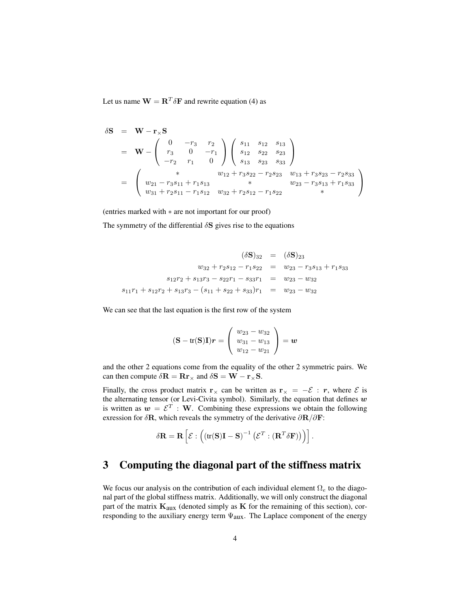Let us name  $\mathbf{W} = \mathbf{R}^T \delta \mathbf{F}$  and rewrite equation (4) as

$$
\delta S = W - r_{\times} S
$$
\n
$$
= W - \begin{pmatrix} 0 & -r_3 & r_2 \\ r_3 & 0 & -r_1 \\ -r_2 & r_1 & 0 \end{pmatrix} \begin{pmatrix} s_{11} & s_{12} & s_{13} \\ s_{12} & s_{22} & s_{23} \\ s_{13} & s_{23} & s_{33} \end{pmatrix}
$$
\n
$$
= \begin{pmatrix} * & w_{12} + r_3 s_{22} - r_2 s_{23} & w_{13} + r_3 s_{23} - r_2 s_{33} \\ w_{21} - r_3 s_{11} + r_1 s_{13} & * & w_{23} - r_3 s_{13} + r_1 s_{33} \\ w_{31} + r_2 s_{11} - r_1 s_{12} & w_{32} + r_2 s_{12} - r_1 s_{22} & * \end{pmatrix}
$$

(entries marked with ∗ are not important for our proof)

The symmetry of the differential  $\delta S$  gives rise to the equations

$$
(\delta S)_{32} = (\delta S)_{23}
$$
  
\n
$$
w_{32} + r_2 s_{12} - r_1 s_{22} = w_{23} - r_3 s_{13} + r_1 s_{33}
$$
  
\n
$$
s_{12}r_2 + s_{13}r_3 - s_{22}r_1 - s_{33}r_1 = w_{23} - w_{32}
$$
  
\n
$$
s_{11}r_1 + s_{12}r_2 + s_{13}r_3 - (s_{11} + s_{22} + s_{33})r_1 = w_{23} - w_{32}
$$

We can see that the last equation is the first row of the system

$$
(\mathbf{S} - tr(\mathbf{S})\mathbf{I})\mathbf{r} = \begin{pmatrix} w_{23} - w_{32} \\ w_{31} - w_{13} \\ w_{12} - w_{21} \end{pmatrix} = \mathbf{w}
$$

and the other 2 equations come from the equality of the other 2 symmetric pairs. We can then compute  $\delta \mathbf{R} = \mathbf{R} \mathbf{r}_{\times}$  and  $\delta \mathbf{S} = \mathbf{W} - \mathbf{r}_{\times} \mathbf{S}$ .

Finally, the cross product matrix  $\mathbf{r}_{\times}$  can be written as  $\mathbf{r}_{\times} = -\mathcal{E} : \mathbf{r}$ , where  $\mathcal{E}$  is the alternating tensor (or Levi-Civita symbol). Similarly, the equation that defines  $w$ is written as  $w = \mathcal{E}^T : \mathbf{W}$ . Combining these expressions we obtain the following exression for  $\delta \mathbf{R}$ , which reveals the symmetry of the derivative  $\partial \mathbf{R}/\partial \mathbf{F}$ :

$$
\delta \mathbf{R} = \mathbf{R} \left[ \mathcal{E} : ((\text{tr}(\mathbf{S})\mathbf{I} - \mathbf{S})^{-1} \left( \mathcal{E}^T : (\mathbf{R}^T \delta \mathbf{F}) \right) \right].
$$

## 3 Computing the diagonal part of the stiffness matrix

We focus our analysis on the contribution of each individual element  $\Omega_e$  to the diagonal part of the global stiffness matrix. Additionally, we will only construct the diagonal part of the matrix  $\mathbf{K}_{\text{aux}}$  (denoted simply as  $\mathbf{K}$  for the remaining of this section), corresponding to the auxiliary energy term  $\Psi_{\text{aux}}$ . The Laplace component of the energy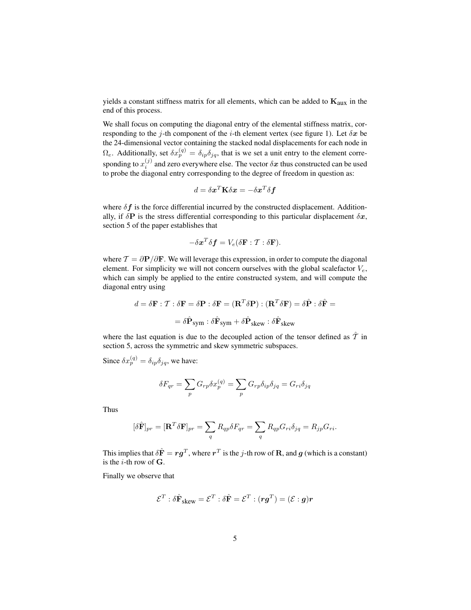yields a constant stiffness matrix for all elements, which can be added to  $K_{aux}$  in the end of this process.

We shall focus on computing the diagonal entry of the elemental stiffness matrix, corresponding to the j-th component of the *i*-th element vertex (see figure 1). Let  $\delta x$  be the 24-dimensional vector containing the stacked nodal displacements for each node in  $\Omega_e$ . Additionally, set  $\delta x_p^{(q)} = \delta_{ip}\delta_{jq}$ , that is we set a unit entry to the element corresponding to  $x_i^{(j)}$  and zero everywhere else. The vector  $\delta x$  thus constructed can be used to probe the diagonal entry corresponding to the degree of freedom in question as:

$$
d = \delta \boldsymbol{x}^T \mathbf{K} \delta \boldsymbol{x} = - \delta \boldsymbol{x}^T \delta \boldsymbol{f}
$$

where  $\delta f$  is the force differential incurred by the constructed displacement. Additionally, if  $\delta$ P is the stress differential corresponding to this particular displacement  $\delta x$ , section 5 of the paper establishes that

$$
-\delta \boldsymbol{x}^T \delta \boldsymbol{f} = V_e(\delta \mathbf{F} : \mathcal{T} : \delta \mathbf{F}).
$$

where  $T = \partial P / \partial F$ . We will leverage this expression, in order to compute the diagonal element. For simplicity we will not concern ourselves with the global scalefactor  $V_e$ , which can simply be applied to the entire constructed system, and will compute the diagonal entry using

$$
d = \delta \mathbf{F} : \mathcal{T} : \delta \mathbf{F} = \delta \mathbf{P} : \delta \mathbf{F} = (\mathbf{R}^T \delta \mathbf{P}) : (\mathbf{R}^T \delta \mathbf{F}) = \delta \hat{\mathbf{P}} : \delta \hat{\mathbf{F}} =
$$

$$
= \delta \hat{\mathbf{P}}_{sym} : \delta \hat{\mathbf{F}}_{sym} + \delta \hat{\mathbf{P}}_{skew} : \delta \hat{\mathbf{F}}_{skew}
$$

where the last equation is due to the decoupled action of the tensor defined as  $\hat{T}$  in section 5, across the symmetric and skew symmetric subspaces.

Since  $\delta x_p^{(q)} = \delta_{ip}\delta_{jq}$ , we have:

$$
\delta F_{qr} = \sum_p G_{rp} \delta x_p^{(q)} = \sum_p G_{rp} \delta_{ip} \delta_{jq} = G_{ri} \delta_{jq}
$$

Thus

$$
[\delta \hat{\mathbf{F}}]_{pr} = [\mathbf{R}^T \delta \mathbf{F}]_{pr} = \sum_{q} R_{qp} \delta F_{qr} = \sum_{q} R_{qp} G_{ri} \delta_{jq} = R_{jp} G_{ri}.
$$

This implies that  $\delta \hat{\mathbf{F}} = r\boldsymbol{g}^T$ , where  $r^T$  is the j-th row of **R**, and  $\boldsymbol{g}$  (which is a constant) is the  $i$ -th row of  $G$ .

Finally we observe that

$$
\mathcal{E}^T : \delta \hat{\mathbf{F}}_{\text{skew}} = \mathcal{E}^T : \delta \hat{\mathbf{F}} = \mathcal{E}^T : (\bm{r}\bm{g}^T) = (\mathcal{E} : \bm{g})\bm{r}
$$